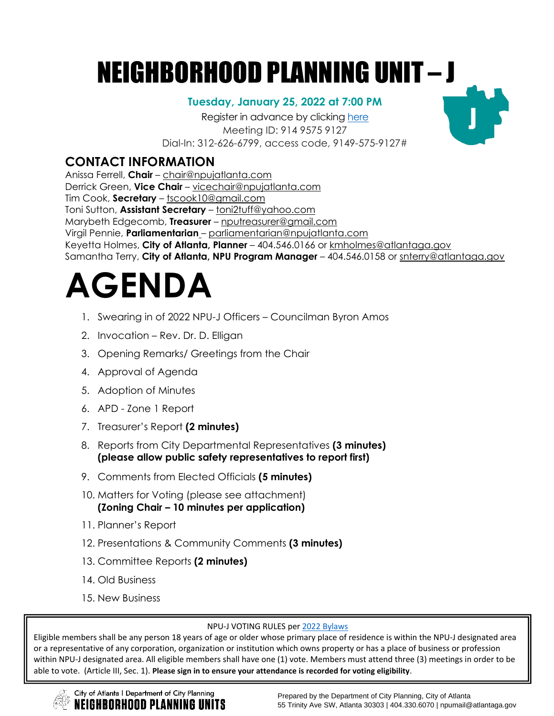## NEIGHBORHOOD PLANNING UNIT – J

#### **Tuesday, January 25, 2022 at 7:00 PM**

Register in advance by clicking [here](https://zoom.us/meeting/register/tJUpfuyvqzIrGNPisSUqavtB5wdLiJTeHVFD) Meeting ID: 914 9575 9127 Dial-In: 312-626-6799, access code, 9149-575-9127#

### **CONTACT INFORMATION**

Anissa Ferrell, **Chair** – [chair@npujatlanta.com](mailto:chair@npujatlanta.com) Derrick Green, **Vice Chair** – [vicechair@npujatlanta.com](mailto:vicechair@npujatlanta.com) Tim Cook, **Secretary** – [tscook10@gmail.com](https://cityofatlanta.sharepoint.com/sites/dcp/oozd/npus/Shared%20Documents/2021/Agendas/J/1.January/tscook10@gmail.com) Toni Sutton, **Assistant Secretary** – [toni2tuff@yahoo.com](https://cityofatlanta.sharepoint.com/sites/dcp/oozd/npus/Shared%20Documents/2021/Agendas/J/6.June/toni2tuff@yahoo.com) Marybeth Edgecomb, **Treasurer** – [nputreasurer@gmail.com](https://cityofatlanta.sharepoint.com/sites/dcp/oozd/npus/Shared%20Documents/2021/Agendas/J/6.June/nputreasurer@gmail.com) Virgil Pennie, **Parliamentarian** – [parliamentarian@npujatlanta.com](https://cityofatlanta.sharepoint.com/sites/dcp/oozd/npus/Shared%20Documents/2020/Agendas/NPU%20J/6.%20June/parliamentarian@npujatlanta.com) Keyetta Holmes, **City of Atlanta, Planner** – 404.546.0166 or [kmholmes@atlantaga.gov](mailto:kmholmes@atlantaga.gov) Samantha Terry, **City of Atlanta, NPU Program Manager** – 404.546.0158 or [snterry@atlantaga.gov](mailto:snterry@atlantaga.gov)

# **AGENDA**

- 1. Swearing in of 2022 NPU-J Officers Councilman Byron Amos
- 2. Invocation Rev. Dr. D. Elligan
- 3. Opening Remarks/ Greetings from the Chair
- 4. Approval of Agenda
- 5. Adoption of Minutes
- 6. APD Zone 1 Report
- 7. Treasurer's Report **(2 minutes)**
- 8. Reports from City Departmental Representatives **(3 minutes) (please allow public safety representatives to report first)**
- 9. Comments from Elected Officials **(5 minutes)**
- 10. Matters for Voting (please see attachment) **(Zoning Chair – 10 minutes per application)**
- 11. Planner's Report
- 12. Presentations & Community Comments **(3 minutes)**
- 13. Committee Reports **(2 minutes)**

ORHOOD PLANNING UNITS

- 14. Old Business
- 15. New Business

#### NPU-J VOTING RULES per 2022 [Bylaws](https://cityofatlanta.sharepoint.com/sites/dcp/oozd/npus/Shared%20Documents/2022/Agendas/J/1.January/Members%20must%20attend%20three%20(3)%20meetings%20in%20order%20to%20be%20able%20to%20vote.)

Eligible members shall be any person 18 years of age or older whose primary place of residence is within the NPU-J designated area or a representative of any corporation, organization or institution which owns property or has a place of business or profession within NPU-J designated area. All eligible members shall have one (1) vote. Members must attend three (3) meetings in order to be able to vote. (Article III, Sec. 1). **Please sign in to ensure your attendance is recorded for voting eligibility**.

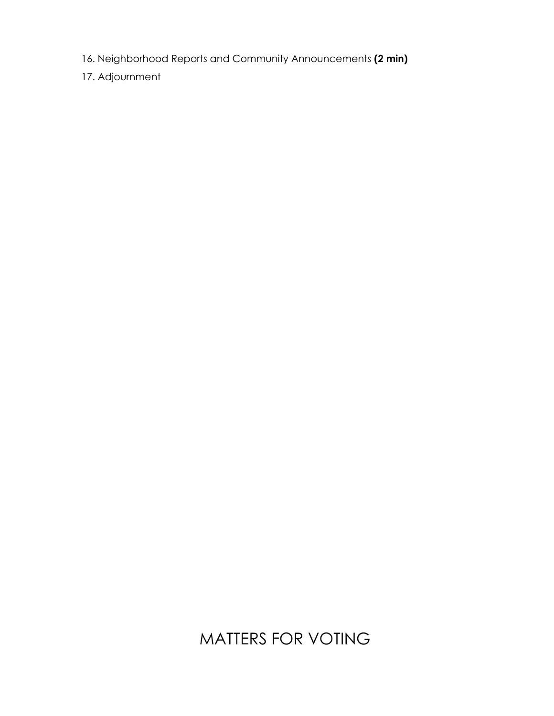- 16. Neighborhood Reports and Community Announcements **(2 min)**
- 17. Adjournment

### MATTERS FOR VOTING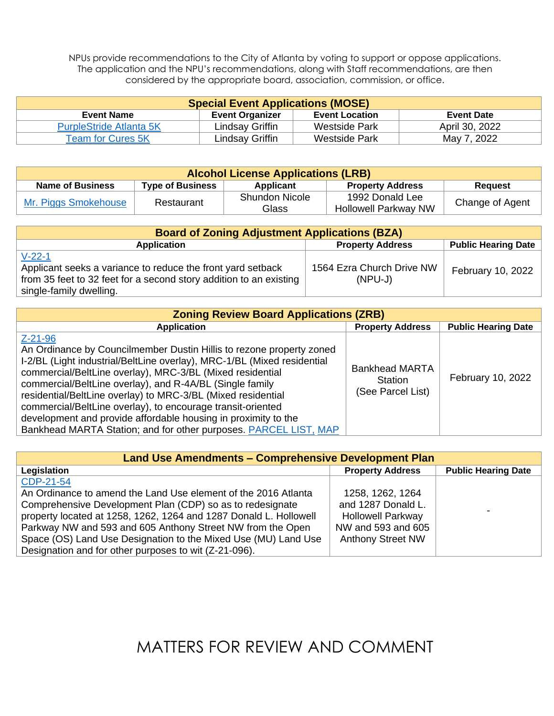NPUs provide recommendations to the City of Atlanta by voting to support or oppose applications. The application and the NPU's recommendations, along with Staff recommendations, are then considered by the appropriate board, association, commission, or office.

| <b>Special Event Applications (MOSE)</b> |                        |                       |                   |
|------------------------------------------|------------------------|-----------------------|-------------------|
| <b>Event Name</b>                        | <b>Event Organizer</b> | <b>Event Location</b> | <b>Event Date</b> |
| <b>PurpleStride Atlanta 5K</b>           | Lindsay Griffin        | <b>Westside Park</b>  | April 30, 2022    |
| <b>Team for Cures 5K</b>                 | Lindsay Griffin        | <b>Westside Park</b>  | May 7, 2022       |

| <b>Alcohol License Applications (LRB)</b> |                         |                                |                                                |                 |
|-------------------------------------------|-------------------------|--------------------------------|------------------------------------------------|-----------------|
| Name of Business                          | <b>Type of Business</b> | Applicant                      | <b>Property Address</b>                        | <b>Request</b>  |
| Mr. Piggs Smokehouse                      | Restaurant              | <b>Shundon Nicole</b><br>Glass | 1992 Donald Lee<br><b>Hollowell Parkway NW</b> | Change of Agent |

| <b>Board of Zoning Adjustment Applications (BZA)</b>                                                                                                                     |                                        |                            |  |
|--------------------------------------------------------------------------------------------------------------------------------------------------------------------------|----------------------------------------|----------------------------|--|
| <b>Application</b>                                                                                                                                                       | <b>Property Address</b>                | <b>Public Hearing Date</b> |  |
| $V-22-1$<br>Applicant seeks a variance to reduce the front yard setback<br>from 35 feet to 32 feet for a second story addition to an existing<br>single-family dwelling. | 1564 Ezra Church Drive NW<br>$(NPU-J)$ | February 10, 2022          |  |

| <b>Zoning Review Board Applications (ZRB)</b>                                                                                                                                                                                                                                                                                                                                                                                                                                                                                                                  |                                                       |                            |  |
|----------------------------------------------------------------------------------------------------------------------------------------------------------------------------------------------------------------------------------------------------------------------------------------------------------------------------------------------------------------------------------------------------------------------------------------------------------------------------------------------------------------------------------------------------------------|-------------------------------------------------------|----------------------------|--|
| <b>Application</b>                                                                                                                                                                                                                                                                                                                                                                                                                                                                                                                                             | <b>Property Address</b>                               | <b>Public Hearing Date</b> |  |
| $Z - 21 - 96$<br>An Ordinance by Councilmember Dustin Hillis to rezone property zoned<br>I-2/BL (Light industrial/BeltLine overlay), MRC-1/BL (Mixed residential<br>commercial/BeltLine overlay), MRC-3/BL (Mixed residential<br>commercial/BeltLine overlay), and R-4A/BL (Single family<br>residential/BeltLine overlay) to MRC-3/BL (Mixed residential<br>commercial/BeltLine overlay), to encourage transit-oriented<br>development and provide affordable housing in proximity to the<br>Bankhead MARTA Station; and for other purposes. PARCEL LIST, MAP | <b>Bankhead MARTA</b><br>Station<br>(See Parcel List) | February 10, 2022          |  |

| <b>Land Use Amendments – Comprehensive Development Plan</b>       |                          |                            |  |
|-------------------------------------------------------------------|--------------------------|----------------------------|--|
| Legislation                                                       | <b>Property Address</b>  | <b>Public Hearing Date</b> |  |
| CDP-21-54                                                         |                          |                            |  |
| An Ordinance to amend the Land Use element of the 2016 Atlanta    | 1258, 1262, 1264         |                            |  |
| Comprehensive Development Plan (CDP) so as to redesignate         | and 1287 Donald L.       |                            |  |
| property located at 1258, 1262, 1264 and 1287 Donald L. Hollowell | <b>Hollowell Parkway</b> |                            |  |
| Parkway NW and 593 and 605 Anthony Street NW from the Open        | NW and 593 and 605       |                            |  |
| Space (OS) Land Use Designation to the Mixed Use (MU) Land Use    | <b>Anthony Street NW</b> |                            |  |
| Designation and for other purposes to wit (Z-21-096).             |                          |                            |  |

MATTERS FOR REVIEW AND COMMENT